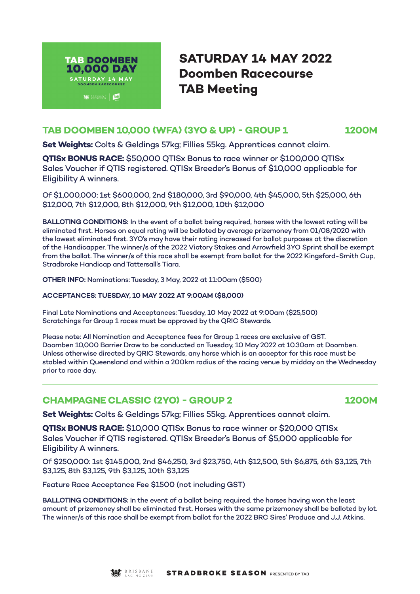

# **SATURDAY 14 MAY 2022 Doomben Racecourse TAB Meeting**

### **TAB DOOMBEN 10,000 (WFA) (3YO & UP) - GROUP 1 1200M**

**Set Weights:** Colts & Geldings 57kg; Fillies 55kg. Apprentices cannot claim.

**QTISx BONUS RACE:** \$50,000 QTISx Bonus to race winner or \$100,000 QTISx Sales Voucher if QTIS registered. QTISx Breeder's Bonus of \$10,000 applicable for Eligibility A winners.

Of \$1,000,000: 1st \$600,000, 2nd \$180,000, 3rd \$90,000, 4th \$45,000, 5th \$25,000, 6th \$12,000, 7th \$12,000, 8th \$12,000, 9th \$12,000, 10th \$12,000

**BALLOTING CONDITIONS:** In the event of a ballot being required, horses with the lowest rating will be eliminated first. Horses on equal rating will be balloted by average prizemoney from 01/08/2020 with the lowest eliminated first. 3YO's may have their rating increased for ballot purposes at the discretion of the Handicapper. The winner/s of the 2022 Victory Stakes and Arrowfield 3YO Sprint shall be exempt from the ballot. The winner/s of this race shall be exempt from ballot for the 2022 Kingsford-Smith Cup, Stradbroke Handicap and Tattersall's Tiara.

**OTHER INFO:** Nominations: Tuesday, 3 May, 2022 at 11:00am (\$500)

#### **ACCEPTANCES: TUESDAY, 10 MAY 2022 AT 9:00AM (\$8,000)**

Final Late Nominations and Acceptances: Tuesday, 10 May 2022 at 9:00am (\$25,500) Scratchings for Group 1 races must be approved by the QRIC Stewards.

Please note: All Nomination and Acceptance fees for Group 1 races are exclusive of GST. Doomben 10,000 Barrier Draw to be conducted on Tuesday, 10 May 2022 at 10.30am at Doomben. Unless otherwise directed by QRIC Stewards, any horse which is an acceptor for this race must be stabled within Queensland and within a 200km radius of the racing venue by midday on the Wednesday prior to race day.

# **CHAMPAGNE CLASSIC (2YO) - GROUP 2 1200M**

**Set Weights:** Colts & Geldings 57kg; Fillies 55kg. Apprentices cannot claim.

**QTISx BONUS RACE:** \$10,000 QTISx Bonus to race winner or \$20,000 QTISx Sales Voucher if QTIS registered. QTISx Breeder's Bonus of \$5,000 applicable for Eligibility A winners.

Of \$250,000: 1st \$145,000, 2nd \$46,250, 3rd \$23,750, 4th \$12,500, 5th \$6,875, 6th \$3,125, 7th \$3,125, 8th \$3,125, 9th \$3,125, 10th \$3,125

Feature Race Acceptance Fee \$1500 (not including GST)

**BALLOTING CONDITIONS:** In the event of a ballot being required, the horses having won the least amount of prizemoney shall be eliminated first. Horses with the same prizemoney shall be balloted by lot. The winner/s of this race shall be exempt from ballot for the 2022 BRC Sires' Produce and J.J. Atkins.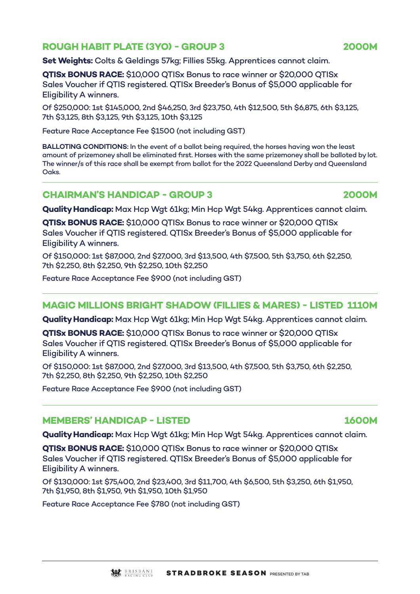# **ROUGH HABIT PLATE (3YO) - GROUP 3 2000M**

**Set Weights:** Colts & Geldings 57kg; Fillies 55kg. Apprentices cannot claim.

**QTISx BONUS RACE:** \$10,000 QTISx Bonus to race winner or \$20,000 QTISx Sales Voucher if QTIS registered. QTISx Breeder's Bonus of \$5,000 applicable for Eligibility A winners.

Of \$250,000: 1st \$145,000, 2nd \$46,250, 3rd \$23,750, 4th \$12,500, 5th \$6,875, 6th \$3,125, 7th \$3,125, 8th \$3,125, 9th \$3,125, 10th \$3,125

Feature Race Acceptance Fee \$1500 (not including GST)

**BALLOTING CONDITIONS:** In the event of a ballot being required, the horses having won the least amount of prizemoney shall be eliminated first. Horses with the same prizemoney shall be balloted by lot. The winner/s of this race shall be exempt from ballot for the 2022 Queensland Derby and Queensland Oaks.

# **CHAIRMAN'S HANDICAP - GROUP 3 2000M**

**Quality Handicap:** Max Hcp Wgt 61kg; Min Hcp Wgt 54kg. Apprentices cannot claim.

**QTISx BONUS RACE:** \$10,000 QTISx Bonus to race winner or \$20,000 QTISx Sales Voucher if QTIS registered. QTISx Breeder's Bonus of \$5,000 applicable for Eligibility A winners.

Of \$150,000: 1st \$87,000, 2nd \$27,000, 3rd \$13,500, 4th \$7,500, 5th \$3,750, 6th \$2,250, 7th \$2,250, 8th \$2,250, 9th \$2,250, 10th \$2,250

Feature Race Acceptance Fee \$900 (not including GST)

# **MAGIC MILLIONS BRIGHT SHADOW (FILLIES & MARES) - LISTED 1110M**

**Quality Handicap:** Max Hcp Wgt 61kg; Min Hcp Wgt 54kg. Apprentices cannot claim.

**QTISx BONUS RACE:** \$10,000 QTISx Bonus to race winner or \$20,000 QTISx Sales Voucher if QTIS registered. QTISx Breeder's Bonus of \$5,000 applicable for Eligibility A winners.

Of \$150,000: 1st \$87,000, 2nd \$27,000, 3rd \$13,500, 4th \$7,500, 5th \$3,750, 6th \$2,250, 7th \$2,250, 8th \$2,250, 9th \$2,250, 10th \$2,250

Feature Race Acceptance Fee \$900 (not including GST)

#### **MEMBERS' HANDICAP - LISTED 1600M**

**Quality Handicap:** Max Hcp Wgt 61kg; Min Hcp Wgt 54kg. Apprentices cannot claim.

**QTISx BONUS RACE:** \$10,000 QTISx Bonus to race winner or \$20,000 QTISx Sales Voucher if QTIS registered. QTISx Breeder's Bonus of \$5,000 applicable for Eligibility A winners.

Of \$130,000: 1st \$75,400, 2nd \$23,400, 3rd \$11,700, 4th \$6,500, 5th \$3,250, 6th \$1,950, 7th \$1,950, 8th \$1,950, 9th \$1,950, 10th \$1,950

Feature Race Acceptance Fee \$780 (not including GST)